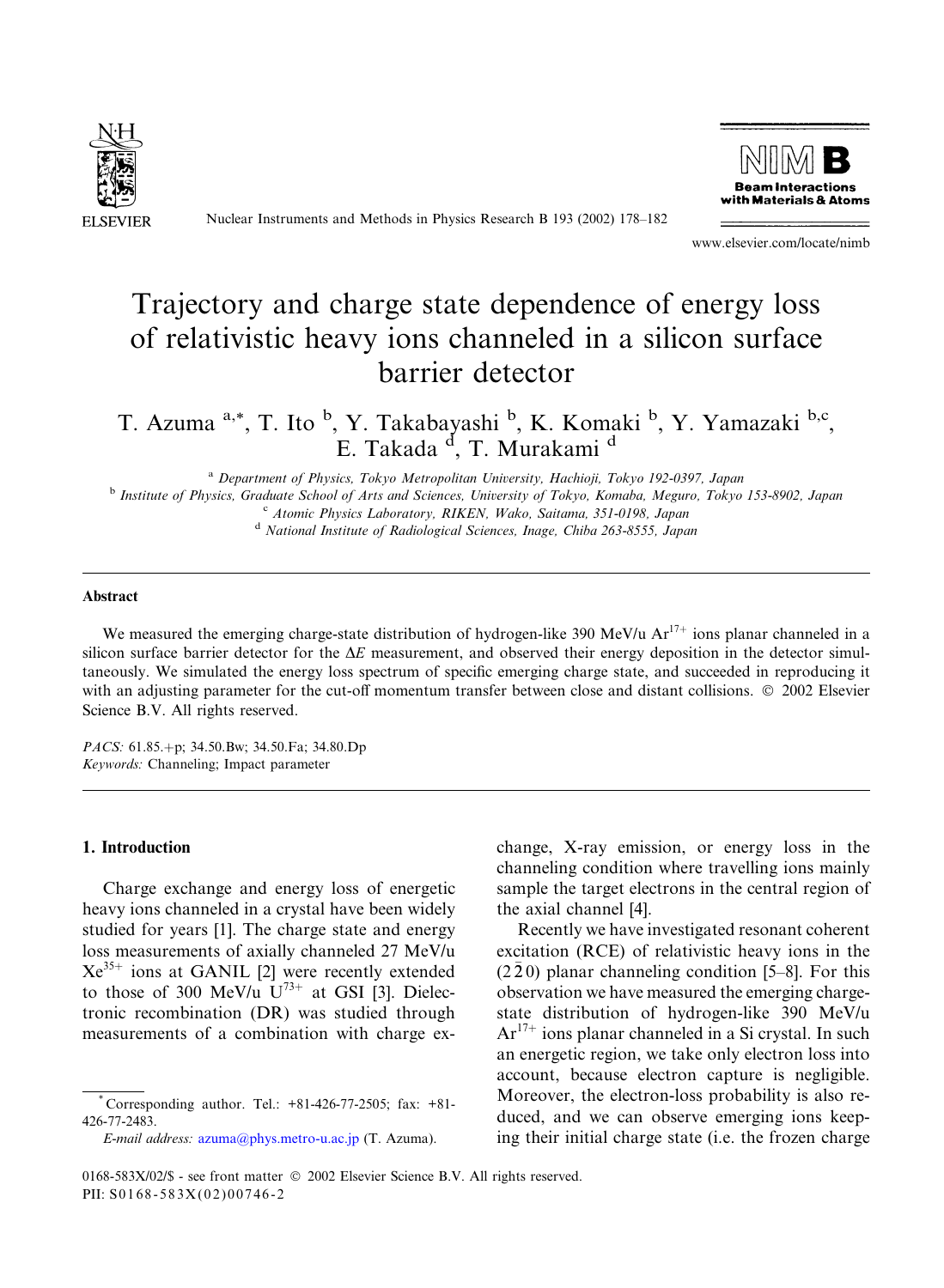

Nuclear Instruments and Methods in Physics Research B 193 (2002) 178–182



www.elsevier.com/locate/nimb

# Trajectory and charge state dependence of energy loss of relativistic heavy ions channeled in a silicon surface barrier detector

T. Azuma <sup>a,\*</sup>, T. Ito <sup>b</sup>, Y. Takabayashi <sup>b</sup>, K. Komaki <sup>b</sup>, Y. Yamazaki <sup>b,c</sup>, E. Takada <sup>d</sup>, T. Murakami <sup>d</sup>

<sup>a</sup> Department of Physics, Tokyo Metropolitan University, Hachioji, Tokyo 192-0397, Japan <sup>b</sup> Institute of Physics, Graduate School of Arts and Sciences, University of Tokyo, Komaba, Meguro, Tokyo 153-8902, Japan <sup>c</sup> Atomic Physics Laboratory, RIKEN, Wako, Saitama, 351-0198, Japan <sup>d</sup> National Institute of Radiological Sciences, Inage, Chiba 263-8555, Japan

#### Abstract

We measured the emerging charge-state distribution of hydrogen-like 390 MeV/u  $Ar^{17+}$  ions planar channeled in a silicon surface barrier detector for the  $\Delta E$  measurement, and observed their energy deposition in the detector simultaneously. We simulated the energy loss spectrum of specific emerging charge state, and succeeded in reproducing it with an adjusting parameter for the cut-off momentum transfer between close and distant collisions.  $\oslash$  2002 Elsevier Science B.V. All rights reserved.

PACS: 61.85.+p; 34.50.Bw; 34.50.Fa; 34.80.Dp Keywords: Channeling; Impact parameter

## 1. Introduction

Charge exchange and energy loss of energetic heavy ions channeled in a crystal have been widely studied for years [1]. The charge state and energy loss measurements of axially channeled 27 MeV/u  $Xe^{35+}$  ions at GANIL [2] were recently extended to those of 300 MeV/u  $U^{73+}$  at GSI [3]. Dielectronic recombination (DR) was studied through measurements of a combination with charge ex-

E-mail address: [azuma@phys.metro-u.ac.jp](mail to: azuma@phys.metro-u.ac.jp) (T. Azuma).

change, X-ray emission, or energy loss in the channeling condition where travelling ions mainly sample the target electrons in the central region of the axial channel [4].

Recently we have investigated resonant coherent excitation (RCE) of relativistic heavy ions in the  $(2\bar{2}0)$  planar channeling condition [5–8]. For this observation we have measured the emerging chargestate distribution of hydrogen-like 390 MeV/u  $Ar^{17+}$  ions planar channeled in a Si crystal. In such an energetic region, we take only electron loss into account, because electron capture is negligible. Moreover, the electron-loss probability is also reduced, and we can observe emerging ions keeping their initial charge state (i.e. the frozen charge

 $^{\circ}$  Corresponding author. Tel.:  $+81-426-77-2505$ ; fax:  $+81-$ 426-77-2483.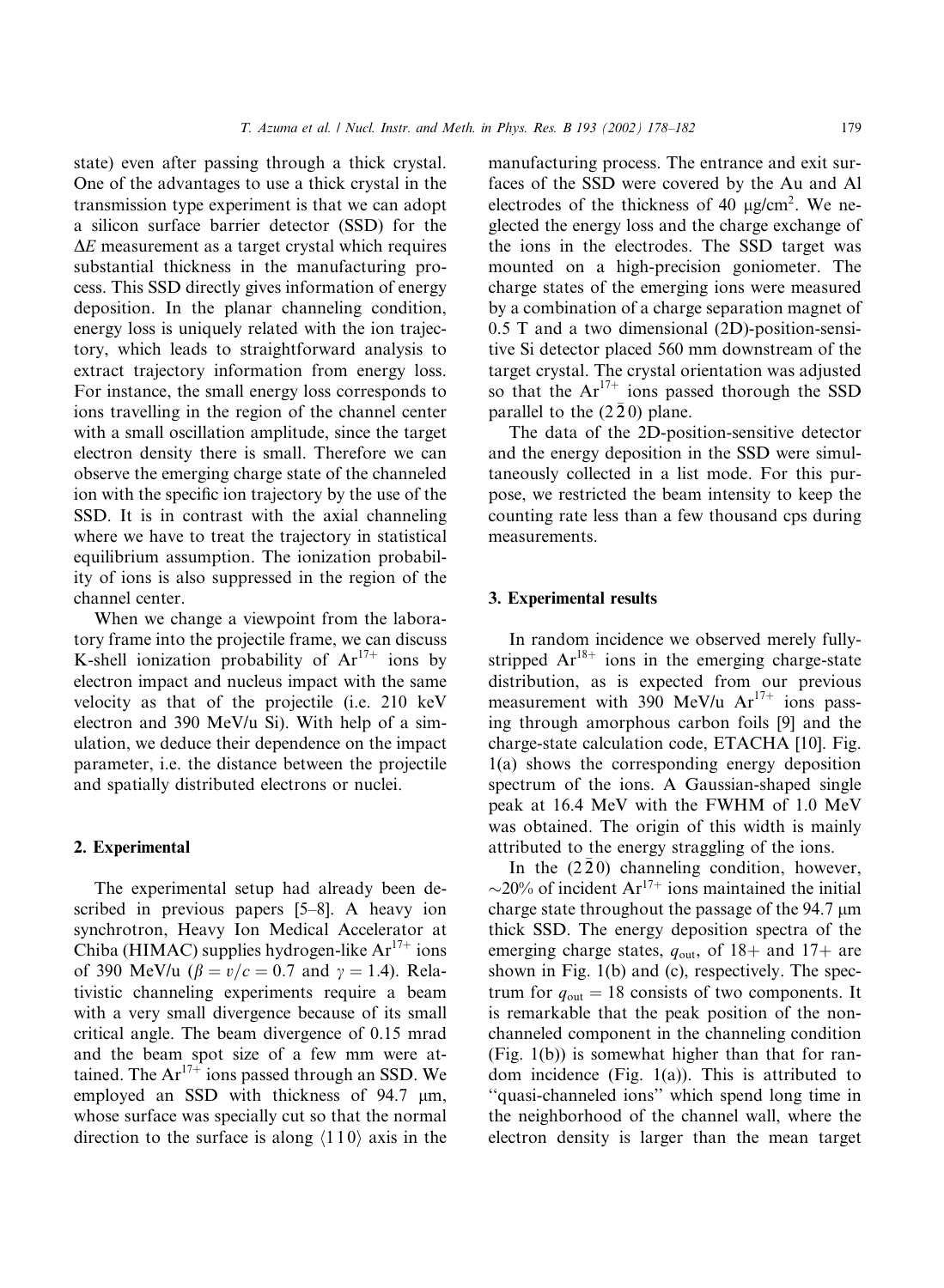state) even after passing through a thick crystal. One of the advantages to use a thick crystal in the transmission type experiment is that we can adopt a silicon surface barrier detector (SSD) for the  $\Delta E$  measurement as a target crystal which requires substantial thickness in the manufacturing process. This SSD directly gives information of energy deposition. In the planar channeling condition, energy loss is uniquely related with the ion trajectory, which leads to straightforward analysis to extract trajectory information from energy loss. For instance, the small energy loss corresponds to ions travelling in the region of the channel center with a small oscillation amplitude, since the target electron density there is small. Therefore we can observe the emerging charge state of the channeled ion with the specific ion trajectory by the use of the SSD. It is in contrast with the axial channeling where we have to treat the trajectory in statistical equilibrium assumption. The ionization probability of ions is also suppressed in the region of the channel center.

When we change a viewpoint from the laboratory frame into the projectile frame, we can discuss K-shell ionization probability of  $Ar^{17+}$  ions by electron impact and nucleus impact with the same velocity as that of the projectile (i.e. 210 keV electron and 390 MeV/u Si). With help of a simulation, we deduce their dependence on the impact parameter, i.e. the distance between the projectile and spatially distributed electrons or nuclei.

## 2. Experimental

The experimental setup had already been described in previous papers [5–8]. A heavy ion synchrotron, Heavy Ion Medical Accelerator at Chiba (HIMAC) supplies hydrogen-like  $Ar^{17+}$  ions of 390 MeV/u ( $\beta = v/c = 0.7$  and  $\gamma = 1.4$ ). Relativistic channeling experiments require a beam with a very small divergence because of its small critical angle. The beam divergence of 0.15 mrad and the beam spot size of a few mm were attained. The  $Ar^{17+}$  ions passed through an SSD. We employed an SSD with thickness of  $94.7 \mu m$ , whose surface was specially cut so that the normal direction to the surface is along  $\langle 110 \rangle$  axis in the

manufacturing process. The entrance and exit surfaces of the SSD were covered by the Au and Al electrodes of the thickness of 40  $\mu$ g/cm<sup>2</sup>. We neglected the energy loss and the charge exchange of the ions in the electrodes. The SSD target was mounted on a high-precision goniometer. The charge states of the emerging ions were measured by a combination of a charge separation magnet of 0.5 T and a two dimensional (2D)-position-sensitive Si detector placed 560 mm downstream of the target crystal. The crystal orientation was adjusted so that the  $Ar^{17+}$  ions passed thorough the SSD parallel to the  $(2\bar{2}0)$  plane.

The data of the 2D-position-sensitive detector and the energy deposition in the SSD were simultaneously collected in a list mode. For this purpose, we restricted the beam intensity to keep the counting rate less than a few thousand cps during measurements.

## 3. Experimental results

In random incidence we observed merely fullystripped  $Ar^{18+}$  ions in the emerging charge-state distribution, as is expected from our previous measurement with  $390$  MeV/u  $Ar^{17+}$  ions passing through amorphous carbon foils [9] and the charge-state calculation code, ETACHA [10]. Fig. 1(a) shows the corresponding energy deposition spectrum of the ions. A Gaussian-shaped single peak at 16.4 MeV with the FWHM of 1.0 MeV was obtained. The origin of this width is mainly attributed to the energy straggling of the ions.

In the  $(2\bar{2}0)$  channeling condition, however,  $\sim$ 20% of incident Ar<sup>17+</sup> ions maintained the initial charge state throughout the passage of the 94.7 µm thick SSD. The energy deposition spectra of the emerging charge states,  $q_{\text{out}}$ , of 18+ and 17+ are shown in Fig. 1(b) and (c), respectively. The spectrum for  $q_{\text{out}} = 18$  consists of two components. It is remarkable that the peak position of the nonchanneled component in the channeling condition (Fig. 1(b)) is somewhat higher than that for random incidence (Fig. 1(a)). This is attributed to ''quasi-channeled ions'' which spend long time in the neighborhood of the channel wall, where the electron density is larger than the mean target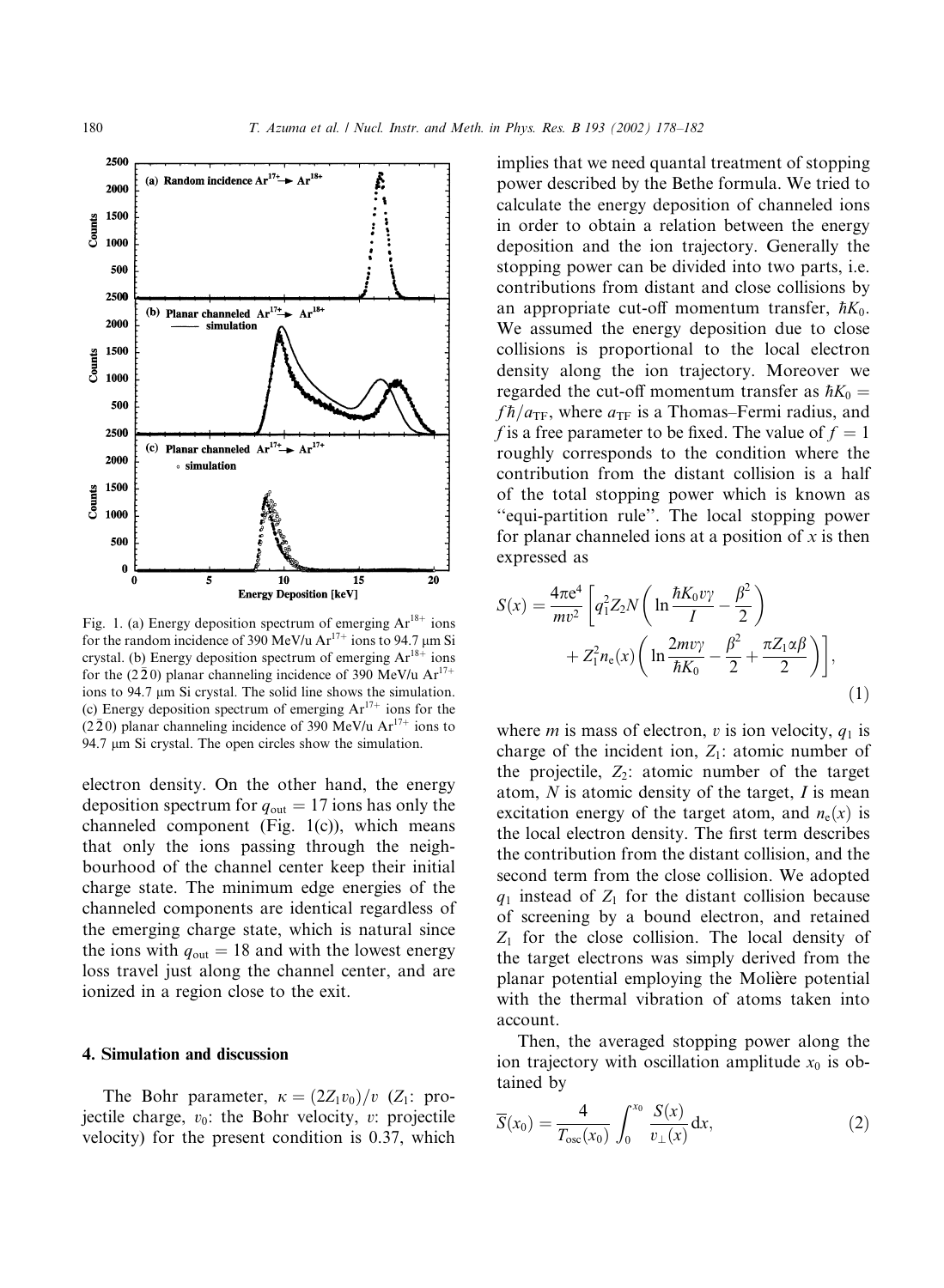

Fig. 1. (a) Energy deposition spectrum of emerging  $Ar^{18+}$  ions for the random incidence of 390 MeV/u  $Ar^{17+}$  ions to 94.7 um Si crystal. (b) Energy deposition spectrum of emerging  $Ar^{18+}$  ions for the (220) planar channeling incidence of 390 MeV/u  $Ar^{17+}$ ions to 94.7 µm Si crystal. The solid line shows the simulation. (c) Energy deposition spectrum of emerging  $Ar^{17+}$  ions for the  $(2\bar{2}0)$  planar channeling incidence of 390 MeV/u  $Ar^{17+}$  ions to 94.7  $\mu$ m Si crystal. The open circles show the simulation.

electron density. On the other hand, the energy deposition spectrum for  $q_{\text{out}} = 17$  ions has only the channeled component (Fig. 1(c)), which means that only the ions passing through the neighbourhood of the channel center keep their initial charge state. The minimum edge energies of the channeled components are identical regardless of the emerging charge state, which is natural since the ions with  $q_{\text{out}} = 18$  and with the lowest energy loss travel just along the channel center, and are ionized in a region close to the exit.

### 4. Simulation and discussion

The Bohr parameter,  $\kappa = (2Z_1v_0)/v$  (Z<sub>1</sub>: projectile charge,  $v_0$ : the Bohr velocity, v: projectile velocity) for the present condition is 0.37, which

implies that we need quantal treatment of stopping power described by the Bethe formula. We tried to calculate the energy deposition of channeled ions in order to obtain a relation between the energy deposition and the ion trajectory. Generally the stopping power can be divided into two parts, i.e. contributions from distant and close collisions by an appropriate cut-off momentum transfer,  $\hbar K_0$ . We assumed the energy deposition due to close collisions is proportional to the local electron density along the ion trajectory. Moreover we regarded the cut-off momentum transfer as  $\hbar K_0 =$  $fh/a_{\text{TF}}$ , where  $a_{\text{TF}}$  is a Thomas–Fermi radius, and f is a free parameter to be fixed. The value of  $f = 1$ roughly corresponds to the condition where the contribution from the distant collision is a half of the total stopping power which is known as ''equi-partition rule''. The local stopping power for planar channeled ions at a position of  $x$  is then expressed as

$$
S(x) = \frac{4\pi e^4}{mv^2} \left[ q_1^2 Z_2 N \left( \ln \frac{\hbar K_0 v \gamma}{I} - \frac{\beta^2}{2} \right) + Z_1^2 n_e(x) \left( \ln \frac{2m v \gamma}{\hbar K_0} - \frac{\beta^2}{2} + \frac{\pi Z_1 \alpha \beta}{2} \right) \right],
$$
\n(1)

where *m* is mass of electron, *v* is ion velocity,  $q_1$  is charge of the incident ion,  $Z_1$ : atomic number of the projectile,  $Z_2$ : atomic number of the target atom,  $N$  is atomic density of the target,  $I$  is mean excitation energy of the target atom, and  $n_e(x)$  is the local electron density. The first term describes the contribution from the distant collision, and the second term from the close collision. We adopted  $q_1$  instead of  $Z_1$  for the distant collision because of screening by a bound electron, and retained  $Z_1$  for the close collision. The local density of the target electrons was simply derived from the planar potential employing the Molière potential with the thermal vibration of atoms taken into account.

Then, the averaged stopping power along the ion trajectory with oscillation amplitude  $x_0$  is obtained by

$$
\overline{S}(x_0) = \frac{4}{T_{\text{osc}}(x_0)} \int_0^{x_0} \frac{S(x)}{v_{\perp}(x)} dx,
$$
 (2)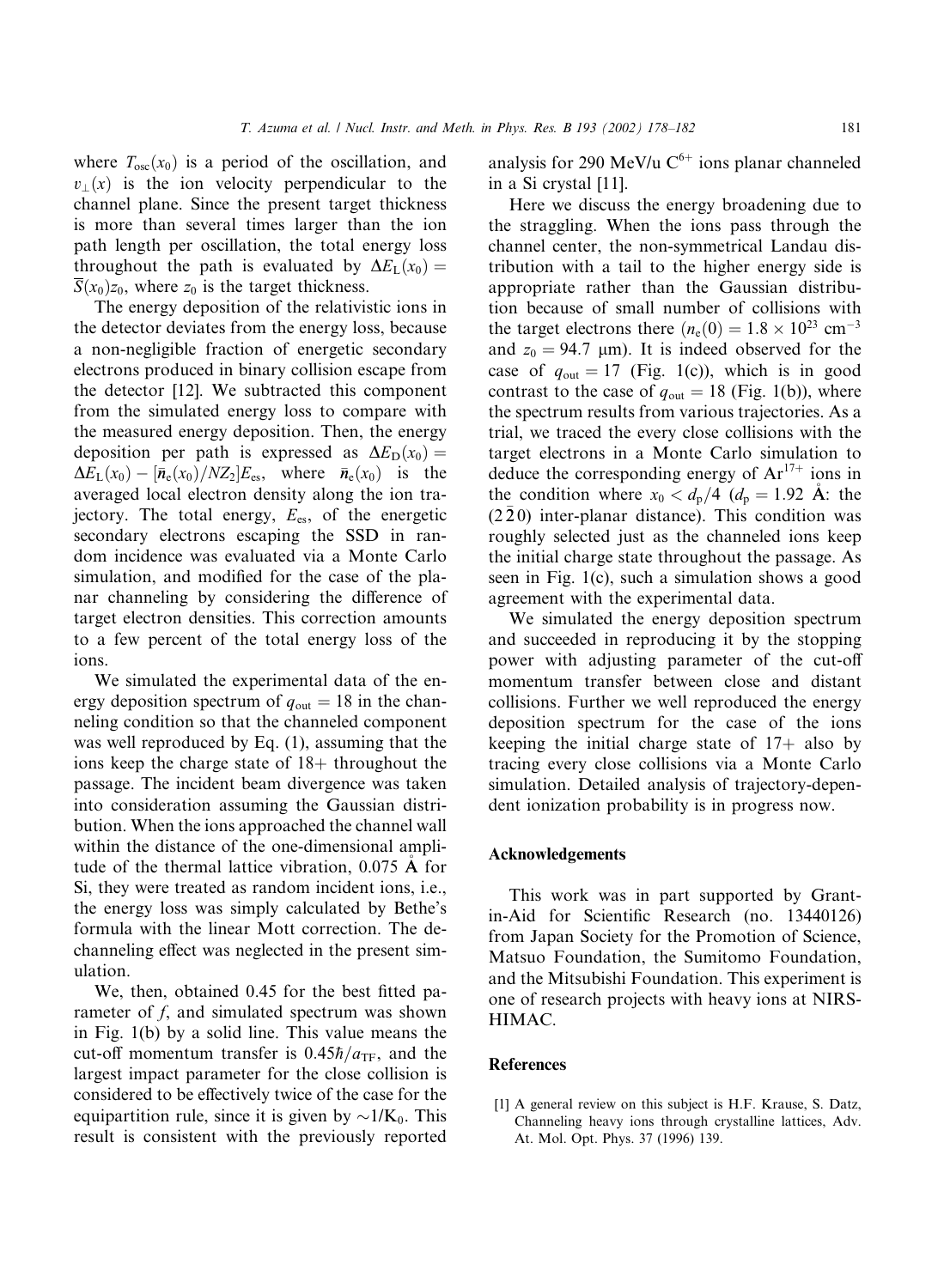where  $T_{osc}(x_0)$  is a period of the oscillation, and  $v(x)$  is the ion velocity perpendicular to the channel plane. Since the present target thickness is more than several times larger than the ion path length per oscillation, the total energy loss throughout the path is evaluated by  $\Delta E_{\rm L}(x_0) =$  $\overline{S}(x_0)z_0$ , where  $z_0$  is the target thickness.

The energy deposition of the relativistic ions in the detector deviates from the energy loss, because a non-negligible fraction of energetic secondary electrons produced in binary collision escape from the detector [12]. We subtracted this component from the simulated energy loss to compare with the measured energy deposition. Then, the energy deposition per path is expressed as  $\Delta E_{\text{D}}(x_0) =$  $\Delta E_{\rm L}(x_0) - [\bar{n}_{\rm e}(x_0)/NZ_2]E_{\rm es}$ , where  $\bar{n}_{\rm e}(x_0)$  is the averaged local electron density along the ion trajectory. The total energy,  $E_{es}$ , of the energetic secondary electrons escaping the SSD in random incidence was evaluated via a Monte Carlo simulation, and modified for the case of the planar channeling by considering the difference of target electron densities. This correction amounts to a few percent of the total energy loss of the ions.

We simulated the experimental data of the energy deposition spectrum of  $q_{\text{out}} = 18$  in the channeling condition so that the channeled component was well reproduced by Eq. (1), assuming that the ions keep the charge state of  $18+$  throughout the passage. The incident beam divergence was taken into consideration assuming the Gaussian distribution. When the ions approached the channel wall within the distance of the one-dimensional amplitude of the thermal lattice vibration, 0.075 A for Si, they were treated as random incident ions, i.e., the energy loss was simply calculated by Bethe's formula with the linear Mott correction. The dechanneling effect was neglected in the present simulation.

We, then, obtained 0.45 for the best fitted parameter of f, and simulated spectrum was shown in Fig. 1(b) by a solid line. This value means the cut-off momentum transfer is  $0.45\hbar/a_{\text{TF}}$ , and the largest impact parameter for the close collision is considered to be effectively twice of the case for the equipartition rule, since it is given by  $\sim 1/K_0$ . This result is consistent with the previously reported

analysis for 290 MeV/u  $C^{6+}$  ions planar channeled in a Si crystal [11].

Here we discuss the energy broadening due to the straggling. When the ions pass through the channel center, the non-symmetrical Landau distribution with a tail to the higher energy side is appropriate rather than the Gaussian distribution because of small number of collisions with the target electrons there  $(n_e(0) = 1.8 \times 10^{23} \text{ cm}^{-3})$ and  $z_0 = 94.7$  µm). It is indeed observed for the case of  $q_{\text{out}} = 17$  (Fig. 1(c)), which is in good contrast to the case of  $q_{\text{out}} = 18$  (Fig. 1(b)), where the spectrum results from various trajectories. As a trial, we traced the every close collisions with the target electrons in a Monte Carlo simulation to deduce the corresponding energy of  $Ar^{17+}$  ions in the condition where  $x_0 < d_p/4$  ( $d_p = 1.92$  Å: the  $(2\bar{2}0)$  inter-planar distance). This condition was roughly selected just as the channeled ions keep the initial charge state throughout the passage. As seen in Fig. 1(c), such a simulation shows a good agreement with the experimental data.

We simulated the energy deposition spectrum and succeeded in reproducing it by the stopping power with adjusting parameter of the cut-off momentum transfer between close and distant collisions. Further we well reproduced the energy deposition spectrum for the case of the ions keeping the initial charge state of  $17+$  also by tracing every close collisions via a Monte Carlo simulation. Detailed analysis of trajectory-dependent ionization probability is in progress now.

#### Acknowledgements

This work was in part supported by Grantin-Aid for Scientific Research (no. 13440126) from Japan Society for the Promotion of Science, Matsuo Foundation, the Sumitomo Foundation, and the Mitsubishi Foundation. This experiment is one of research projects with heavy ions at NIRS-HIMAC.

#### References

[1] A general review on this subject is H.F. Krause, S. Datz, Channeling heavy ions through crystalline lattices, Adv. At. Mol. Opt. Phys. 37 (1996) 139.